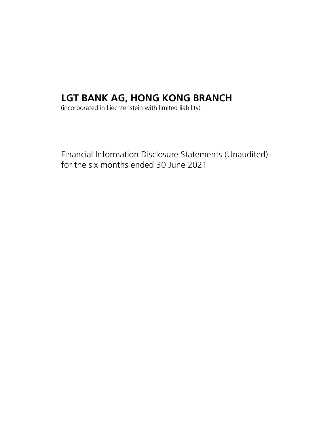# LGT BANK AG, HONG KONG BRANCH

(incorporated in Liechtenstein with limited liability)

Financial Information Disclosure Statements (Unaudited) for the six months ended 30 June 2021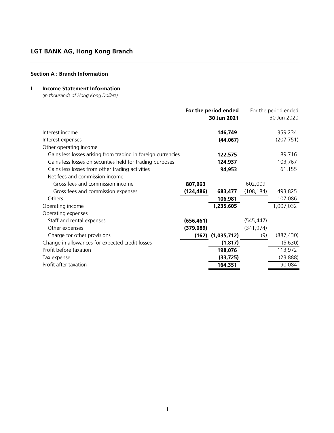### Section A : Branch Information

### I Income Statement Information

(in thousands of Hong Kong Dollars)

|                                                              |            | For the period ended  |            | For the period ended |
|--------------------------------------------------------------|------------|-----------------------|------------|----------------------|
|                                                              |            | 30 Jun 2021           |            | 30 Jun 2020          |
|                                                              |            |                       |            |                      |
| Interest income                                              |            | 146,749               |            | 359,234              |
| Interest expenses                                            |            | (44, 067)             |            | (207, 751)           |
| Other operating income                                       |            |                       |            |                      |
| Gains less losses arising from trading in foreign currencies |            | 122,575               |            | 89,716               |
| Gains less losses on securities held for trading purposes    |            | 124,937               |            | 103,767              |
| Gains less losses from other trading activities              |            | 94,953                |            | 61,155               |
| Net fees and commission income                               |            |                       |            |                      |
| Gross fees and commission income                             | 807,963    |                       | 602,009    |                      |
| Gross fees and commission expenses                           | (124,486)  | 683,477               | (108, 184) | 493,825              |
| Others                                                       |            | 106,981               |            | 107,086              |
| Operating income                                             |            | 1,235,605             |            | 1,007,032            |
| Operating expenses                                           |            |                       |            |                      |
| Staff and rental expenses                                    | (656, 461) |                       | (545, 447) |                      |
| Other expenses                                               | (379, 089) |                       | (341, 974) |                      |
| Charge for other provisions                                  |            | $(162)$ $(1,035,712)$ | (9)        | (887, 430)           |
| Change in allowances for expected credit losses              |            | (1, 817)              |            | (5,630)              |
| Profit before taxation                                       |            | 198,076               |            | 113,972              |
| Tax expense                                                  |            | (33, 725)             |            | (23, 888)            |
| Profit after taxation                                        |            | 164,351               |            | 90,084               |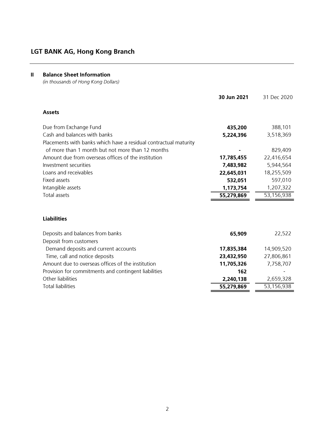### II Balance Sheet Information

(in thousands of Hong Kong Dollars)

|                                                                  | 30 Jun 2021 | 31 Dec 2020 |
|------------------------------------------------------------------|-------------|-------------|
| <b>Assets</b>                                                    |             |             |
| Due from Exchange Fund                                           | 435,200     | 388,101     |
| Cash and balances with banks                                     | 5,224,396   | 3,518,369   |
| Placements with banks which have a residual contractual maturity |             |             |
| of more than 1 month but not more than 12 months                 |             | 829,409     |
| Amount due from overseas offices of the institution              | 17,785,455  | 22,416,654  |
| Investment securities                                            | 7,483,982   | 5,944,564   |
| Loans and receivables                                            | 22,645,031  | 18,255,509  |
| Fixed assets                                                     | 532,051     | 597,010     |
| Intangible assets                                                | 1,173,754   | 1,207,322   |
| <b>Total assets</b>                                              | 55,279,869  | 53,156,938  |
|                                                                  |             |             |
| <b>Liabilities</b>                                               |             |             |
| Deposits and balances from banks                                 | 65,909      | 22,522      |
| Deposit from customers                                           |             |             |
| Demand deposits and current accounts                             | 17,835,384  | 14,909,520  |
| Time, call and notice deposits                                   | 23,432,950  | 27,806,861  |
| Amount due to overseas offices of the institution                | 11,705,326  | 7,758,707   |
| Provision for commitments and contingent liabilities             | 162         |             |
| Other liabilities                                                | 2,240,138   | 2,659,328   |
| <b>Total liabilities</b>                                         | 55,279,869  | 53,156,938  |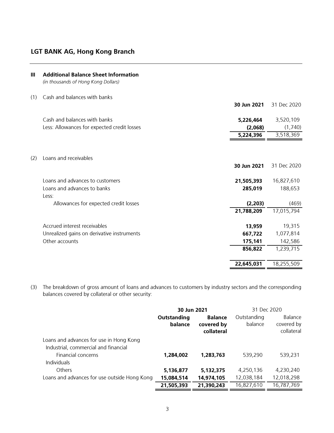| Ш   | <b>Additional Balance Sheet Information</b><br>(in thousands of Hong Kong Dollars) |                      |                      |
|-----|------------------------------------------------------------------------------------|----------------------|----------------------|
| (1) | Cash and balances with banks                                                       | 30 Jun 2021          | 31 Dec 2020          |
|     | Cash and balances with banks<br>Less: Allowances for expected credit losses        | 5,226,464<br>(2,068) | 3,520,109<br>(1,740) |
|     |                                                                                    | 5,224,396            | 3,518,369            |
| (2) | Loans and receivables                                                              | 30 Jun 2021          | 31 Dec 2020          |
|     | Loans and advances to customers                                                    | 21,505,393           | 16,827,610           |
|     | Loans and advances to banks<br>Less:                                               | 285,019              | 188,653              |
|     | Allowances for expected credit losses                                              | (2,203)              | (469)                |
|     |                                                                                    | 21,788,209           | 17,015,794           |
|     | Accrued interest receivables                                                       | 13,959               | 19,315               |
|     | Unrealized gains on derivative instruments                                         | 667,722              | 1,077,814            |
|     | Other accounts                                                                     | 175,141              | 142,586              |
|     |                                                                                    | 856,822              | 1,239,715            |
|     |                                                                                    | 22,645,031           | 18,255,509           |

(3) The breakdown of gross amount of loans and advances to customers by industry sectors and the corresponding balances covered by collateral or other security:

|                                                                                 | 30 Jun 2021            |                                            | 31 Dec 2020            |                                            |
|---------------------------------------------------------------------------------|------------------------|--------------------------------------------|------------------------|--------------------------------------------|
|                                                                                 | Outstanding<br>balance | <b>Balance</b><br>covered by<br>collateral | Outstanding<br>balance | <b>Balance</b><br>covered by<br>collateral |
| Loans and advances for use in Hong Kong<br>Industrial, commercial and financial |                        |                                            |                        |                                            |
| Financial concerns<br>Individuals                                               | 1,284,002              | 1,283,763                                  | 539,290                | 539,231                                    |
| Others                                                                          | 5,136,877              | 5,132,375                                  | 4,250,136              | 4,230,240                                  |
| Loans and advances for use outside Hong Kong                                    | 15,084,514             | 14,974,105                                 | 12,038,184             | 12,018,298                                 |
|                                                                                 | 21,505,393             | 21,390,243                                 | 16,827,610             | 16,787,769                                 |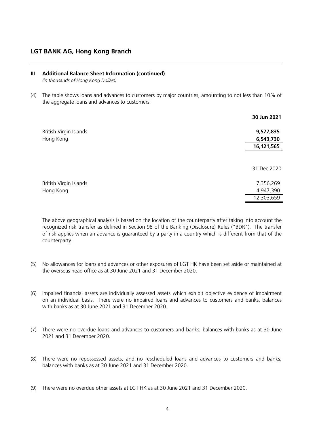#### III Additional Balance Sheet Information (continued)

(in thousands of Hong Kong Dollars)

(4) The table shows loans and advances to customers by major countries, amounting to not less than 10% of the aggregate loans and advances to customers:

|                        | 30 Jun 2021 |
|------------------------|-------------|
| British Virgin Islands | 9,577,835   |
| Hong Kong              | 6,543,730   |
|                        | 16,121,565  |
|                        | 31 Dec 2020 |
| British Virgin Islands | 7,356,269   |
| Hong Kong              | 4,947,390   |
|                        | 12,303,659  |

The above geographical analysis is based on the location of the counterparty after taking into account the recognized risk transfer as defined in Section 98 of the Banking (Disclosure) Rules ("BDR"). The transfer of risk applies when an advance is guaranteed by a party in a country which is different from that of the counterparty.

- (5) No allowances for loans and advances or other exposures of LGT HK have been set aside or maintained at the overseas head office as at 30 June 2021 and 31 December 2020.
- (6) Impaired financial assets are individually assessed assets which exhibit objective evidence of impairment on an individual basis. There were no impaired loans and advances to customers and banks, balances with banks as at 30 June 2021 and 31 December 2020.
- (7) There were no overdue loans and advances to customers and banks, balances with banks as at 30 June 2021 and 31 December 2020.
- (8) There were no repossessed assets, and no rescheduled loans and advances to customers and banks, balances with banks as at 30 June 2021 and 31 December 2020.
- (9) There were no overdue other assets at LGT HK as at 30 June 2021 and 31 December 2020.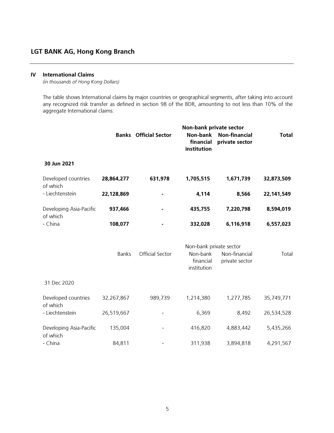#### IV International Claims

(in thousands of Hong Kong Dollars)

The table shows International claims by major countries or geographical segments, after taking into account any recognized risk transfer as defined in section 98 of the BDR, amounting to not less than 10% of the aggregate International claims:

|                                     | Non-bank private sector |                              |                                      |                                        |              |
|-------------------------------------|-------------------------|------------------------------|--------------------------------------|----------------------------------------|--------------|
|                                     |                         | <b>Banks</b> Official Sector | Non-bank<br>financial<br>institution | <b>Non-financial</b><br>private sector | <b>Total</b> |
| 30 Jun 2021                         |                         |                              |                                      |                                        |              |
| Developed countries<br>of which     | 28,864,277              | 631,978                      | 1,705,515                            | 1,671,739                              | 32,873,509   |
| - Liechtenstein                     | 22,128,869              |                              | 4,114                                | 8,566                                  | 22,141,549   |
| Developing Asia-Pacific<br>of which | 937,466                 |                              | 435,755                              | 7,220,798                              | 8,594,019    |
| - China                             | 108,077                 |                              | 332,028                              | 6,116,918                              | 6,557,023    |
|                                     |                         |                              | Non-bank private sector              |                                        |              |
|                                     | <b>Banks</b>            | Official Sector              | Non-bank<br>financial<br>institution | Non-financial<br>private sector        | Total        |
| 31 Dec 2020                         |                         |                              |                                      |                                        |              |
| Developed countries<br>of which     | 32,267,867              | 989,739                      | 1,214,380                            | 1,277,785                              | 35,749,771   |
| - Liechtenstein                     | 26,519,667              |                              | 6,369                                | 8,492                                  | 26,534,528   |
| Developing Asia-Pacific<br>of which | 135,004                 |                              | 416,820                              | 4,883,442                              | 5,435,266    |
| - China                             | 84,811                  |                              | 311,938                              | 3,894,818                              | 4,291,567    |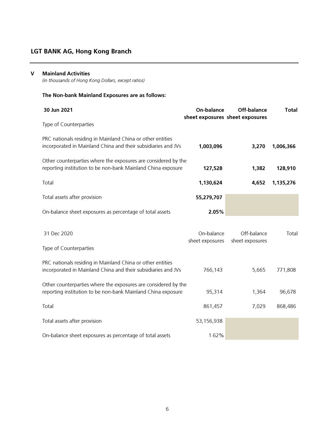### V Mainland Activities

(in thousands of Hong Kong Dollars, except ratios)

# The Non-bank Mainland Exposures are as follows:

| 30 Jun 2021                                                                                                                    | On-balance                    | Off-balance<br>sheet exposures sheet exposures | <b>Total</b> |
|--------------------------------------------------------------------------------------------------------------------------------|-------------------------------|------------------------------------------------|--------------|
| Type of Counterparties                                                                                                         |                               |                                                |              |
| PRC nationals residing in Mainland China or other entities<br>incorporated in Mainland China and their subsidiaries and JVs    | 1,003,096                     | 3,270                                          | 1,006,366    |
| Other counterparties where the exposures are considered by the<br>reporting institution to be non-bank Mainland China exposure | 127,528                       | 1,382                                          | 128,910      |
| Total                                                                                                                          | 1,130,624                     | 4,652                                          | 1,135,276    |
| Total assets after provision                                                                                                   | 55,279,707                    |                                                |              |
| On-balance sheet exposures as percentage of total assets                                                                       | 2.05%                         |                                                |              |
| 31 Dec 2020<br>Type of Counterparties                                                                                          | On-balance<br>sheet exposures | Off-balance<br>sheet exposures                 | Total        |
| PRC nationals residing in Mainland China or other entities<br>incorporated in Mainland China and their subsidiaries and JVs    | 766,143                       | 5,665                                          | 771,808      |
| Other counterparties where the exposures are considered by the<br>reporting institution to be non-bank Mainland China exposure | 95,314                        | 1,364                                          | 96,678       |
| Total                                                                                                                          | 861,457                       | 7,029                                          | 868,486      |
| Total assets after provision                                                                                                   | 53,156,938                    |                                                |              |
| On-balance sheet exposures as percentage of total assets                                                                       | 1.62%                         |                                                |              |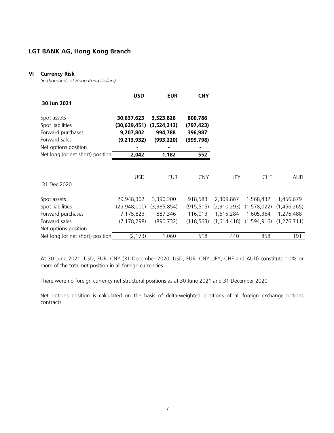### VI Currency Risk

(in thousands of Hong Kong Dollars)

|                                  | <b>USD</b>     | <b>EUR</b>  | <b>CNY</b> |             |             |               |
|----------------------------------|----------------|-------------|------------|-------------|-------------|---------------|
| 30 Jun 2021                      |                |             |            |             |             |               |
| Spot assets                      | 30,637,623     | 3,523,826   | 800,786    |             |             |               |
| Spot liabilities                 | (30, 629, 451) | (3,524,212) | (797, 423) |             |             |               |
| Forward purchases                | 9,207,802      | 994,788     | 396,987    |             |             |               |
| Forward sales                    | (9,213,932)    | (993, 220)  | (399, 798) |             |             |               |
| Net options position             |                |             |            |             |             |               |
| Net long (or net short) position | 2,042          | 1,182       | 552        |             |             |               |
|                                  |                |             |            |             |             |               |
|                                  | <b>USD</b>     | EUR         | <b>CNY</b> | JPY         | <b>CHF</b>  | <b>AUD</b>    |
| 31 Dec 2020                      |                |             |            |             |             |               |
| Spot assets                      | 29,948,302     | 3,390,300   | 918,583    | 2,309,867   | 1,568,432   | 1,456,679     |
| Spot liabilities                 | (29,948,000)   | (3,385,854) | (915, 515) | (2,310,293) | (1,578,022) | (1,456,265)   |
| Forward purchases                | 7,175,823      | 887,346     | 116,013    | 1,615,284   | 1,605,364   | 1,276,488     |
| Forward sales                    | (7, 178, 298)  | (890, 732)  | (118, 563) | (1,614,418) | (1,594,916) | (1, 276, 711) |
| Net options position             |                |             |            |             |             |               |
| Net long (or net short) position | (2, 173)       | 1,060       | 518        | 440         | 858         | 191           |

At 30 June 2021, USD, EUR, CNY (31 December 2020: USD, EUR, CNY, JPY, CHF and AUD) constitute 10% or more of the total net position in all foreign currencies.

There were no foreign currency net structural positions as at 30 June 2021 and 31 December 2020.

Net options position is calculated on the basis of delta-weighted positions of all foreign exchange options contracts.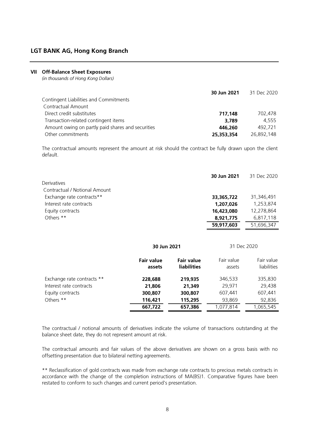### VII Off-Balance Sheet Exposures

(in thousands of Hong Kong Dollars)

|                                                   | 30 Jun 2021 | 31 Dec 2020 |
|---------------------------------------------------|-------------|-------------|
| Contingent Liabilities and Commitments            |             |             |
| Contractual Amount                                |             |             |
| Direct credit substitutes                         | 717.148     | 702.478     |
| Transaction-related contingent items              | 3,789       | 4.555       |
| Amount owing on partly paid shares and securities | 446,260     | 492.721     |
| Other commitments                                 | 25,353,354  | 26.892.148  |

The contractual amounts represent the amount at risk should the contract be fully drawn upon the client default.

|                               | 30 Jun 2021 | 31 Dec 2020 |
|-------------------------------|-------------|-------------|
| Derivatives                   |             |             |
| Contractual / Notional Amount |             |             |
| Exchange rate contracts**     | 33,365,722  | 31,346,491  |
| Interest rate contracts       | 1,207,026   | 1.253.874   |
| Equity contracts              | 16,423,080  | 12,278,864  |
| Others **                     | 8.921.775   | 6,817,118   |
|                               | 59,917,603  | 51,696,347  |

|                            | 30 Jun 2021                 |                                         | 31 Dec 2020          |                           |
|----------------------------|-----------------------------|-----------------------------------------|----------------------|---------------------------|
|                            | <b>Fair value</b><br>assets | <b>Fair value</b><br><b>liabilities</b> | Fair value<br>assets | Fair value<br>liabilities |
| Exchange rate contracts ** | 228,688                     | 219,935                                 | 346,533              | 335,830                   |
| Interest rate contracts    | 21,806                      | 21,349                                  | 29.971               | 29,438                    |
| Equity contracts           | 300,807                     | 300,807                                 | 607,441              | 607,441                   |
| Others **                  | 116,421                     | 115,295                                 | 93,869               | 92,836                    |
|                            | 667,722                     | 657,386                                 | 1.077.814            | 1,065,545                 |

The contractual / notional amounts of derivatives indicate the volume of transactions outstanding at the balance sheet date, they do not represent amount at risk.

The contractual amounts and fair values of the above derivatives are shown on a gross basis with no offsetting presentation due to bilateral netting agreements.

\*\* Reclassification of gold contracts was made from exchange rate contracts to precious metals contracts in accordance with the change of the completion instructions of MA(BS)1. Comparative figures have been restated to conform to such changes and current period's presentation.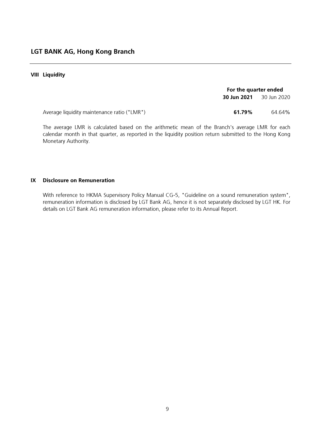#### VIII Liquidity

|                                             | For the quarter ended |             |  |
|---------------------------------------------|-----------------------|-------------|--|
|                                             | 30 Jun 2021           | 30 Jun 2020 |  |
| Average liquidity maintenance ratio ("LMR") | 61.79%                | 64.64%      |  |

The average LMR is calculated based on the arithmetic mean of the Branch's average LMR for each calendar month in that quarter, as reported in the liquidity position return submitted to the Hong Kong Monetary Authority.

### IX Disclosure on Remuneration

With reference to HKMA Supervisory Policy Manual CG-5, "Guideline on a sound remuneration system", remuneration information is disclosed by LGT Bank AG, hence it is not separately disclosed by LGT HK. For details on LGT Bank AG remuneration information, please refer to its Annual Report.